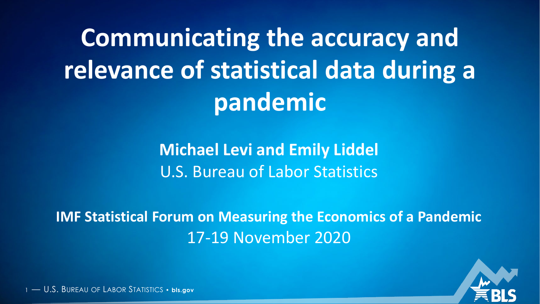**Communicating the accuracy and relevance of statistical data during a pandemic**

> **Michael Levi and Emily Liddel** U.S. Bureau of Labor Statistics

**IMF Statistical Forum on Measuring the Economics of a Pandemic** 17-19 November 2020

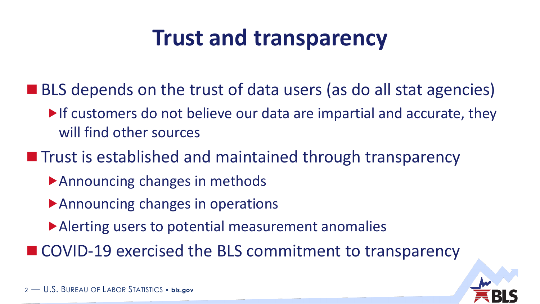# **Trust and transparency**

- BLS depends on the trust of data users (as do all stat agencies)
	- $\blacktriangleright$  If customers do not believe our data are impartial and accurate, they will find other sources
- $\blacksquare$  Trust is established and maintained through transparency
	- Announcing changes in methods
	- Announcing changes in operations
	- Alerting users to potential measurement anomalies

■ COVID-19 exercised the BLS commitment to transparency

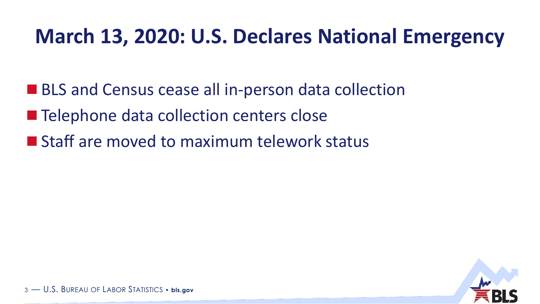### **March 13, 2020: U.S. Declares National Emergency**

- **BLS and Census cease all in-person data collection**
- Telephone data collection centers close
- **Staff are moved to maximum telework status**

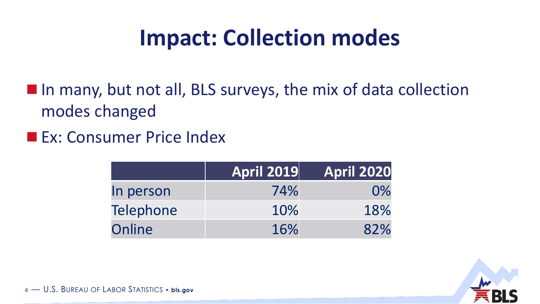# **Impact: Collection modes**

In many, but not all, BLS surveys, the mix of data collection modes changed

**Ex: Consumer Price Index** 

|                  | <b>April 2019</b> | <b>April 2020</b> |
|------------------|-------------------|-------------------|
| In person        | 74%               | $0\%$             |
| <b>Telephone</b> | 10%               | 18%               |
| Online           | 16%               | 82%               |

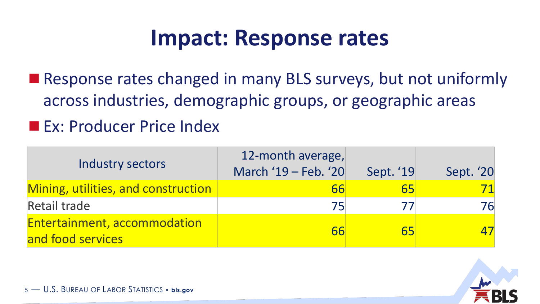### **Impact: Response rates**

■ Response rates changed in many BLS surveys, but not uniformly across industries, demographic groups, or geographic areas

#### **Ex: Producer Price Index**

| Industry sectors                                  | 12-month average,<br>March '19 - Feb. '20 | Sept. '19 | Sept. '20 |
|---------------------------------------------------|-------------------------------------------|-----------|-----------|
| Mining, utilities, and construction               | 66                                        | 65        |           |
| <b>Retail trade</b>                               | 751                                       |           | 76        |
| Entertainment, accommodation<br>and food services | 66                                        | 65        |           |

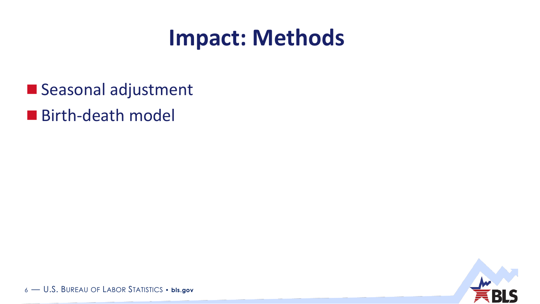## **Impact: Methods**

- Seasonal adjustment
- Birth-death model

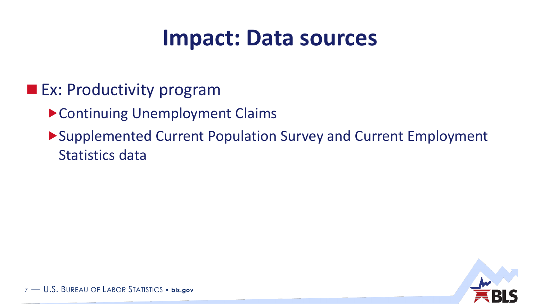## **Impact: Data sources**

### **Ex: Productivity program**

- Continuing Unemployment Claims
- Supplemented Current Population Survey and Current Employment Statistics data

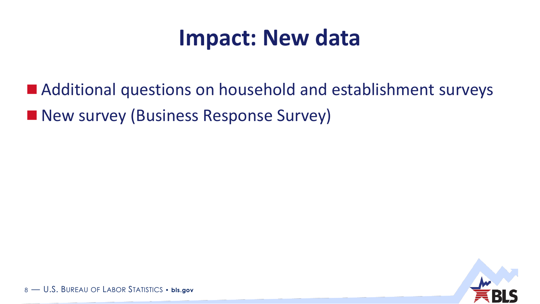## **Impact: New data**

■ Additional questions on household and establishment surveys **New survey (Business Response Survey)** 

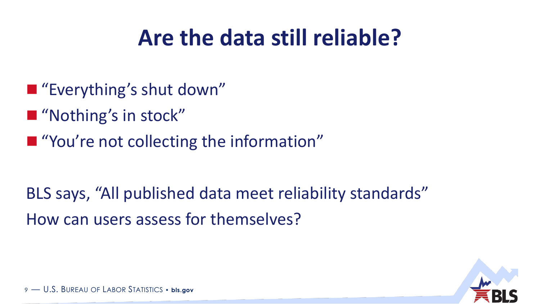# **Are the data still reliable?**

- "Everything's shut down"
- "Nothing's in stock"
- **T** "You're not collecting the information"

BLS says, "All published data meet reliability standards" How can users assess for themselves?

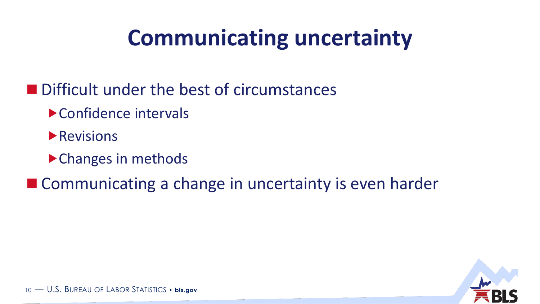# **Communicating uncertainty**

- **Difficult under the best of circumstances** 
	- Confidence intervals
	- **Revisions**
	- ▶ Changes in methods
- Communicating a change in uncertainty is even harder

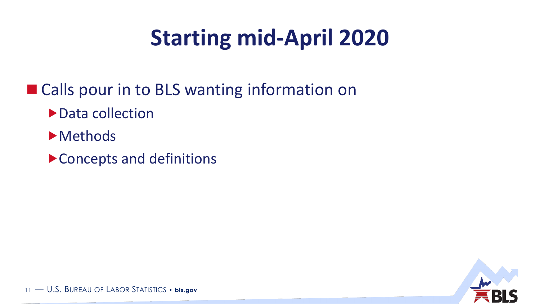# **Starting mid-April 2020**

- Calls pour in to BLS wanting information on
	- ▶ Data collection
	- **Methods**
	- Concepts and definitions

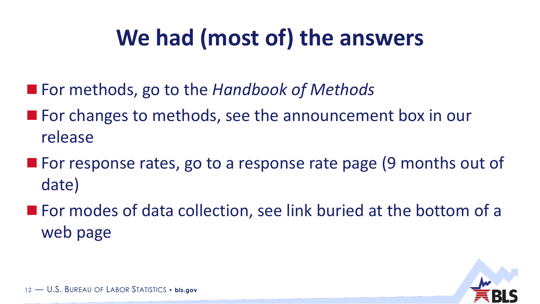# **We had (most of) the answers**

- For methods, go to the *Handbook of Methods*
- **For changes to methods, see the announcement box in our** release
- **For response rates, go to a response rate page (9 months out of** date)
- For modes of data collection, see link buried at the bottom of a web page

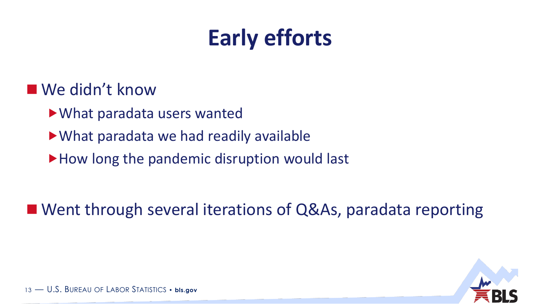# **Early efforts**

### ■ We didn't know

- What paradata users wanted
- What paradata we had readily available
- How long the pandemic disruption would last

■ Went through several iterations of Q&As, paradata reporting

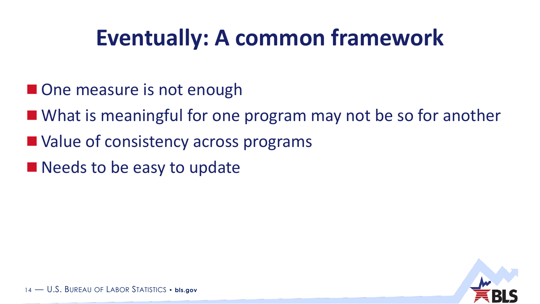# **Eventually: A common framework**

- **One measure is not enough**
- What is meaningful for one program may not be so for another
- Value of consistency across programs
- Needs to be easy to update

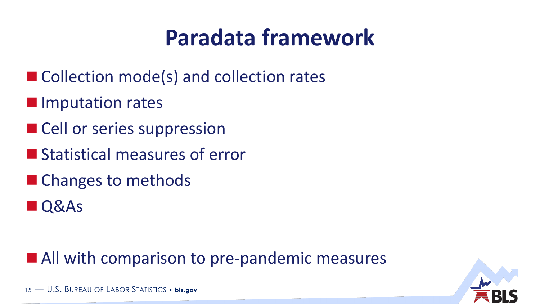# **Paradata framework**

- Collection mode(s) and collection rates
- **Imputation rates**
- Cell or series suppression
- **Statistical measures of error**
- Changes to methods
- **Q&As**

### **All with comparison to pre-pandemic measures**

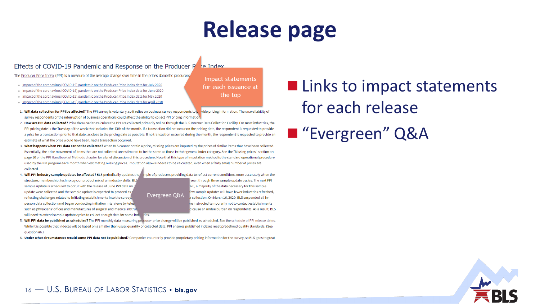# **Release page**

#### Effects of COVID-19 Pandemic and Response on the Producer  $P_{\text{net}}$  index

The Producer Price Index (PPI) is a measure of the average change over time in the prices domestic producers

- Impact of the coronavirus (COVID-19) pandemic on the Producer Price Index data for July 2020
- Impact of the coronavirus (COVID-19) pandemic on the Producer Price Index data for June 2020
- Impact of the coronavirus (COVID-19) pandemic on the Producer Price Index data for May 2020
- Impact of the coronavirus (COVID-19) pandemic on the Producer Price Index data for April 2020
- 1. Will data collection for PPI be affected? The PPI survey is voluntary, so it relies on business survey respondents to L vide pricing information. The unavailability of survey respondents or the interruption of business operations could affect the ability to collect PPI pricing information.
- 2. How are PPI data collected? Price data used to calculate the PPI are collected primarily online through the BLS Internet Data Collection Facility. For most industries, the PPI pricing date is the Tuesday of the week that includes the 13th of the month. If a transaction did not occur on the pricing date, the respondent is requested to provide a price for a transaction prior to that date, as close to the pricing date as possible. If no transaction occurred during the month, the respondent is requested to provide an estimate of what the price would have been, had a transaction occurred
- 3. What happens when PPI data cannot be collected? When BLS cannot obtain a price, missing prices are imputed by the prices of similar items that have been collected. Essentially, the price movement of items that are not collected are estimated to be the same as those in their general index category. See the "Missing prices" section on page 10 of the PPI Handbook of Methods chapter for a brief discussion of this procedure. Note that this type of imputation method is the standard operational procedure used by the PPI program each month when estimating missing prices. Imputation allows indexes to be calculated, even when a fairly small number of prices are collected.
- 4. Will PPI industry sample updates be affected? BLS periodically updates the structure, membership, technology, or product mix of an industry shifts. BLS sample update is scheduled to occur with the release of June PPI data on update were collected and the sample update is expected to proceed as reflecting challenges related to initiating establishments into the survey. person data collection and began conducting initiation interviews by telep such as physicians' offices and manufactures of surgical and medical instrur will need to extend sample update cycles to collect enough data for some induries.

mple of producers providing data to reflect current conditions more accurately when the year, through three sample update cycles. The next PPI 020, a majority of the data necessary for this sample few sample updates will have fewer industries refreshed. Evergreen Q&A collection. On March 16, 2020, BLS suspended all inre instructed temporarily not to contact establishments d cause an undue burden on respondents. As a result, BLS

Impact statements

for each issuance at

the top

5. Will PPI data be published as scheduled? The PPI monthly data measuring preducer price change will be published as scheduled. See the schedule of PPI release dates. While it is possible that indexes will be based on a smaller than usual quantity of collected data, PPI ensures published indexes meet predefined quality standards. (See question #6.

6. Under what circumstances would some PPI data not be published? Companies voluntarily provide proprietary pricing information for the survey, so BLS goes to great

### **Links to impact statements** for each release ■ "Evergreen" Q&A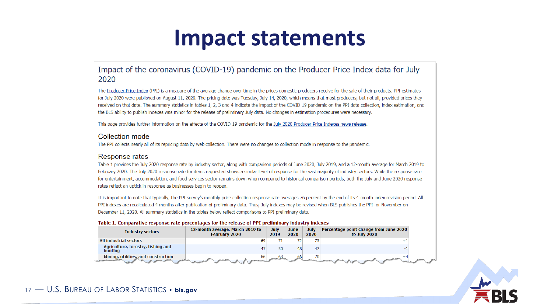### **Impact statements**

#### Impact of the coronavirus (COVID-19) pandemic on the Producer Price Index data for July 2020

The Producer Price Index (PPI) is a measure of the average change over time in the prices domestic producers receive for the sale of their products. PPI estimates for July 2020 were published on August 11, 2020. The pricing date was Tuesday, July 14, 2020, which means that most producers, but not all, provided prices they received on that date. The summary statistics in tables 1, 2, 3 and 4 indicate the impact of the COVID-19 pandemic on the PPI data collection, index estimation, and the BLS ability to publish indexes was minor for the release of preliminary July data. No changes in estimation procedures were necessary.

This page provides further information on the effects of the COVID-19 pandemic for the July 2020 Producer Price Indexes news release.

#### Collection mode

The PPI collects nearly all of its repricing data by web collection. There were no changes to collection mode in response to the pandemic.

#### Response rates

Table 1 provides the July 2020 response rate by industry sector, along with comparison periods of June 2020, July 2019, and a 12-month average for March 2019 to February 2020. The July 2020 response rate for items requested shows a similar level of response for the vast majority of industry sectors. While the response rate for entertainment, accommodation, and food services sector remains down when compared to historical comparison periods, both the July and June 2020 response rates reflect an uptick in response as businesses begin to reopen.

It is important to note that typically, the PPI survey's monthly price collection response rate averages 76 percent by the end of its 4-month index revision period. All PPI indexes are recalculated 4 months after publication of preliminary data. Thus, July indexes may be revised when BLS publishes the PPI for November on December 11, 2020. All summary statistics in the tables below reflect comparisons to PPI preliminary data.

#### Table 1. Comparative response rate percentages for the release of PPI preliminary industry indexes

| <b>Industry sectors</b>                       | 12-month average, March 2019 to<br><b>February 2020</b> | July<br>2019 | June<br>2020 | July<br>2020    | Percentage point change from June 2020<br>to July 2020 |
|-----------------------------------------------|---------------------------------------------------------|--------------|--------------|-----------------|--------------------------------------------------------|
| All industrial sectors                        |                                                         |              | 72.          | 73 <sub>1</sub> |                                                        |
| Agriculture, forestry, fishing and<br>hunting |                                                         | 50           | 48           | 47              |                                                        |
| Mining, utilities, and construction           | 66                                                      |              |              | 70 <sub>1</sub> |                                                        |

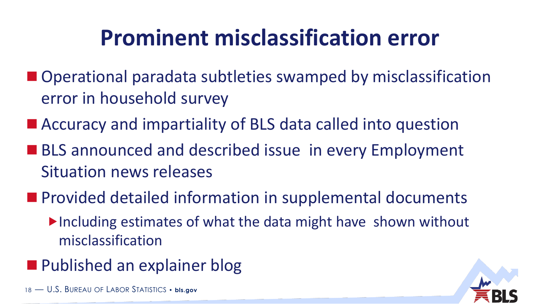# **Prominent misclassification error**

- Operational paradata subtleties swamped by misclassification error in household survey
- Accuracy and impartiality of BLS data called into question
- BLS announced and described issue in every Employment Situation news releases
- **Provided detailed information in supplemental documents** 
	- $\blacktriangleright$  Including estimates of what the data might have shown without misclassification
- **Published an explainer blog**

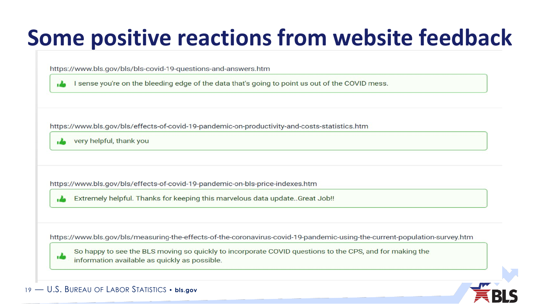# **Some positive reactions from website feedback**

https://www.bls.gov/bls/bls-covid-19-questions-and-answers.htm

I sense you're on the bleeding edge of the data that's going to point us out of the COVID mess.

https://www.bls.gov/bls/effects-of-covid-19-pandemic-on-productivity-and-costs-statistics.htm

very helpful, thank you

https://www.bls.gov/bls/effects-of-covid-19-pandemic-on-bls-price-indexes.htm

Extremely helpful. Thanks for keeping this marvelous data update. Great Job!!

https://www.bls.gov/bls/measuring-the-effects-of-the-coronavirus-covid-19-pandemic-using-the-current-population-survey.htm

So happy to see the BLS moving so quickly to incorporate COVID questions to the CPS, and for making the information available as quickly as possible.

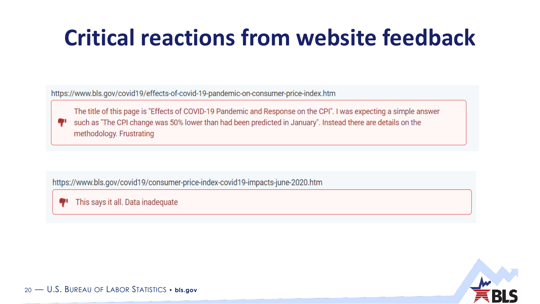# **Critical reactions from website feedback**

https://www.bls.gov/covid19/effects-of-covid-19-pandemic-on-consumer-price-index.htm

The title of this page is "Effects of COVID-19 Pandemic and Response on the CPI". I was expecting a simple answer such as "The CPI change was 50% lower than had been predicted in January". Instead there are details on the methodology. Frustrating

https://www.bls.gov/covid19/consumer-price-index-covid19-impacts-june-2020.htm

This says it all. Data inadequate

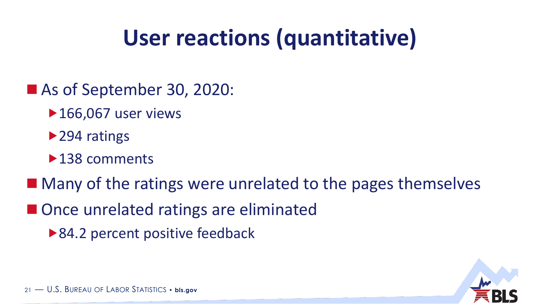# **User reactions (quantitative)**

- As of September 30, 2020:
	- ▶ 166,067 user views
	- ▶ 294 ratings
	- ▶138 comments
- Many of the ratings were unrelated to the pages themselves
- Once unrelated ratings are eliminated
	- ▶ 84.2 percent positive feedback

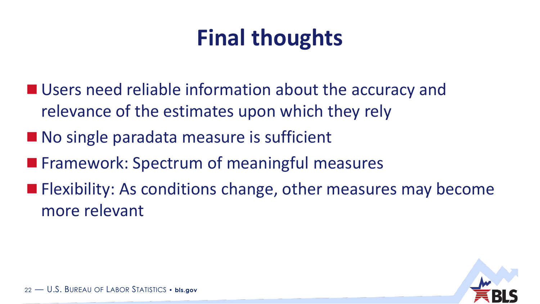# **Final thoughts**

- Users need reliable information about the accuracy and relevance of the estimates upon which they rely
- No single paradata measure is sufficient
- **Filter Framework: Spectrum of meaningful measures**
- **Flexibility: As conditions change, other measures may become** more relevant